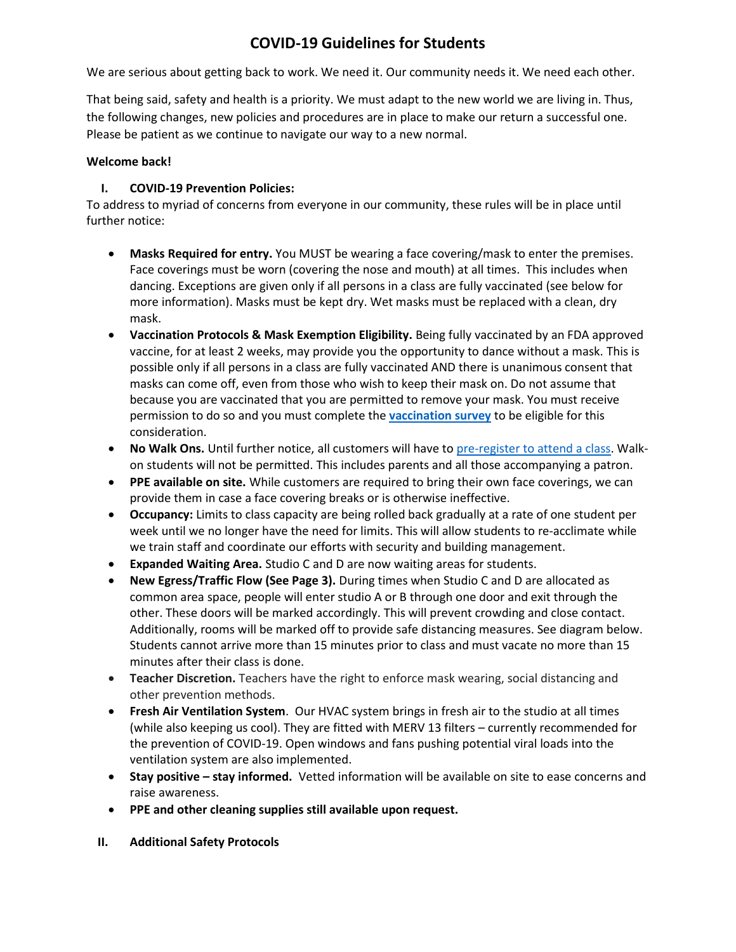## **COVID-19 Guidelines for Students**

We are serious about getting back to work. We need it. Our community needs it. We need each other.

That being said, safety and health is a priority. We must adapt to the new world we are living in. Thus, the following changes, new policies and procedures are in place to make our return a successful one. Please be patient as we continue to navigate our way to a new normal.

## **Welcome back!**

## **I. COVID-19 Prevention Policies:**

To address to myriad of concerns from everyone in our community, these rules will be in place until further notice:

- **Masks Required for entry.** You MUST be wearing a face covering/mask to enter the premises. Face coverings must be worn (covering the nose and mouth) at all times. This includes when dancing. Exceptions are given only if all persons in a class are fully vaccinated (see below for more information). Masks must be kept dry. Wet masks must be replaced with a clean, dry mask.
- **Vaccination Protocols & Mask Exemption Eligibility.** Being fully vaccinated by an FDA approved vaccine, for at least 2 weeks, may provide you the opportunity to dance without a mask. This is possible only if all persons in a class are fully vaccinated AND there is unanimous consent that masks can come off, even from those who wish to keep their mask on. Do not assume that because you are vaccinated that you are permitted to remove your mask. You must receive permission to do so and you must complete the **[vaccination survey](https://docs.google.com/forms/d/e/1FAIpQLSdNtAz_8eud8NwjXE3CsmuT0bUPYJm7JVD-QsZz23eMApp7mA/viewform)** to be eligible for this consideration.
- **No Walk Ons.** Until further notice, all customers will have to pre-register [to attend a class.](https://www.pmthouseofdance.com/pmt-schedule) Walkon students will not be permitted. This includes parents and all those accompanying a patron.
- **PPE available on site.** While customers are required to bring their own face coverings, we can provide them in case a face covering breaks or is otherwise ineffective.
- **Occupancy:** Limits to class capacity are being rolled back gradually at a rate of one student per week until we no longer have the need for limits. This will allow students to re-acclimate while we train staff and coordinate our efforts with security and building management.
- **Expanded Waiting Area.** Studio C and D are now waiting areas for students.
- **New Egress/Traffic Flow (See Page 3).** During times when Studio C and D are allocated as common area space, people will enter studio A or B through one door and exit through the other. These doors will be marked accordingly. This will prevent crowding and close contact. Additionally, rooms will be marked off to provide safe distancing measures. See diagram below. Students cannot arrive more than 15 minutes prior to class and must vacate no more than 15 minutes after their class is done.
- **Teacher Discretion.** Teachers have the right to enforce mask wearing, social distancing and other prevention methods.
- **Fresh Air Ventilation System**. Our HVAC system brings in fresh air to the studio at all times (while also keeping us cool). They are fitted with MERV 13 filters – currently recommended for the prevention of COVID-19. Open windows and fans pushing potential viral loads into the ventilation system are also implemented.
- **Stay positive – stay informed.** Vetted information will be available on site to ease concerns and raise awareness.
- **PPE and other cleaning supplies still available upon request.**
- **II. Additional Safety Protocols**